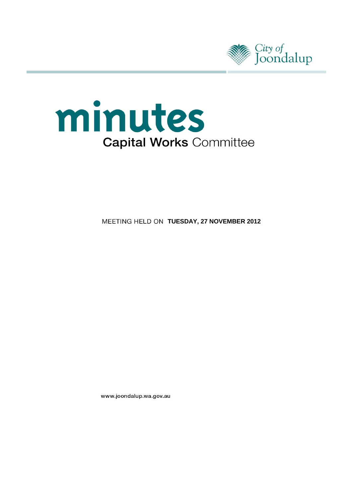



**MEETING HELD ON TUESDAY, 27 NOVEMBER 2012** 

www.joondalup.wa.gov.au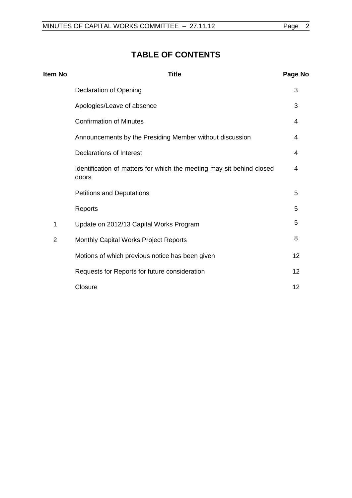# **TABLE OF CONTENTS**

| Item No        | <b>Title</b>                                                                   | Page No |
|----------------|--------------------------------------------------------------------------------|---------|
|                | Declaration of Opening                                                         | 3       |
|                | Apologies/Leave of absence                                                     | 3       |
|                | <b>Confirmation of Minutes</b>                                                 | 4       |
|                | Announcements by the Presiding Member without discussion                       | 4       |
|                | Declarations of Interest                                                       | 4       |
|                | Identification of matters for which the meeting may sit behind closed<br>doors | 4       |
|                | <b>Petitions and Deputations</b>                                               | 5       |
|                | Reports                                                                        | 5       |
| 1              | Update on 2012/13 Capital Works Program                                        | 5       |
| $\overline{2}$ | Monthly Capital Works Project Reports                                          | 8       |
|                | Motions of which previous notice has been given                                | 12      |
|                | Requests for Reports for future consideration                                  | 12      |
|                | Closure                                                                        | 12      |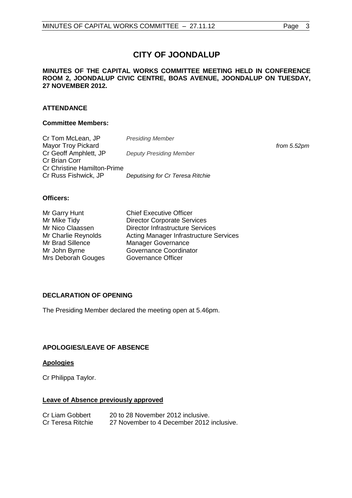#### **MINUTES OF THE CAPITAL WORKS COMMITTEE MEETING HELD IN CONFERENCE ROOM 2, JOONDALUP CIVIC CENTRE, BOAS AVENUE, JOONDALUP ON TUESDAY, 27 NOVEMBER 2012.**

### **ATTENDANCE**

#### **Committee Members:**

| Cr Tom McLean, JP                  | <b>Presiding Member</b>          |             |
|------------------------------------|----------------------------------|-------------|
| <b>Mayor Troy Pickard</b>          |                                  | from 5.52pm |
| Cr Geoff Amphlett, JP              | <b>Deputy Presiding Member</b>   |             |
| Cr Brian Corr                      |                                  |             |
| <b>Cr Christine Hamilton-Prime</b> |                                  |             |
| Cr Russ Fishwick, JP               | Deputising for Cr Teresa Ritchie |             |

#### **Officers:**

| Mr Garry Hunt       | <b>Chief Executive Officer</b>                |
|---------------------|-----------------------------------------------|
| Mr Mike Tidy        | <b>Director Corporate Services</b>            |
| Mr Nico Claassen    | <b>Director Infrastructure Services</b>       |
| Mr Charlie Reynolds | <b>Acting Manager Infrastructure Services</b> |
| Mr Brad Sillence    | <b>Manager Governance</b>                     |
| Mr John Byrne       | Governance Coordinator                        |
| Mrs Deborah Gouges  | Governance Officer                            |

### <span id="page-2-0"></span>**DECLARATION OF OPENING**

The Presiding Member declared the meeting open at 5.46pm.

### <span id="page-2-1"></span>**APOLOGIES/LEAVE OF ABSENCE**

### **Apologies**

Cr Philippa Taylor.

#### **Leave of Absence previously approved**

| Cr Liam Gobbert   | 20 to 28 November 2012 inclusive.         |
|-------------------|-------------------------------------------|
| Cr Teresa Ritchie | 27 November to 4 December 2012 inclusive. |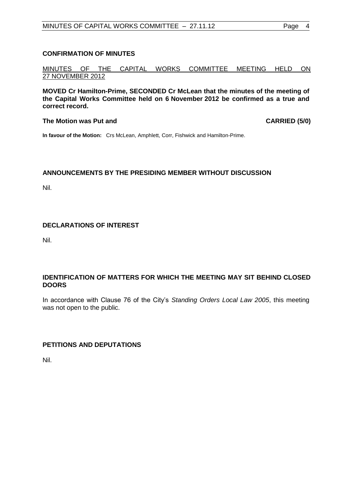#### <span id="page-3-0"></span>**CONFIRMATION OF MINUTES**

MINUTES OF THE CAPITAL WORKS COMMITTEE MEETING HELD ON 27 NOVEMBER 2012

**MOVED Cr Hamilton-Prime, SECONDED Cr McLean that the minutes of the meeting of the Capital Works Committee held on 6 November 2012 be confirmed as a true and correct record.**

#### **The Motion was Put and CARRIED (5/0)**

**In favour of the Motion:** Crs McLean, Amphlett, Corr, Fishwick and Hamilton-Prime.

### <span id="page-3-1"></span>**ANNOUNCEMENTS BY THE PRESIDING MEMBER WITHOUT DISCUSSION**

Nil.

#### <span id="page-3-2"></span>**DECLARATIONS OF INTEREST**

Nil.

#### <span id="page-3-3"></span>**IDENTIFICATION OF MATTERS FOR WHICH THE MEETING MAY SIT BEHIND CLOSED DOORS**

In accordance with Clause 76 of the City's *Standing Orders Local Law 2005*, this meeting was not open to the public.

#### **PETITIONS AND DEPUTATIONS**

Nil.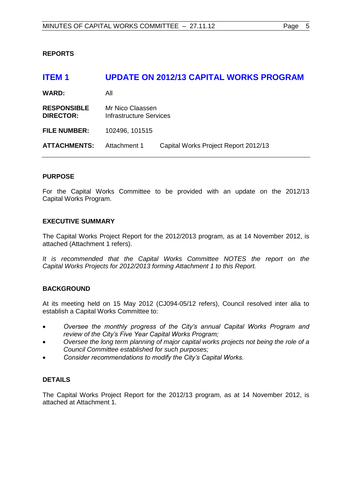### <span id="page-4-0"></span>**REPORTS**

<span id="page-4-1"></span>

| ITEM <sub>1</sub>                      |                                             | <b>UPDATE ON 2012/13 CAPITAL WORKS PROGRAM</b> |  |
|----------------------------------------|---------------------------------------------|------------------------------------------------|--|
| <b>WARD:</b>                           | All                                         |                                                |  |
| <b>RESPONSIBLE</b><br><b>DIRECTOR:</b> | Mr Nico Claassen<br>Infrastructure Services |                                                |  |
| <b>FILE NUMBER:</b>                    | 102496, 101515                              |                                                |  |
| <b>ATTACHMENTS:</b>                    | Attachment 1                                | Capital Works Project Report 2012/13           |  |

#### **PURPOSE**

For the Capital Works Committee to be provided with an update on the 2012/13 Capital Works Program.

#### **EXECUTIVE SUMMARY**

The Capital Works Project Report for the 2012/2013 program, as at 14 November 2012, is attached (Attachment 1 refers).

It is recommended that the Capital Works Committee NOTES the report on the *Capital Works Projects for 2012/2013 forming Attachment 1 to this Report.*

#### **BACKGROUND**

At its meeting held on 15 May 2012 (CJ094-05/12 refers), Council resolved inter alia to establish a Capital Works Committee to:

- *Oversee the monthly progress of the City's annual Capital Works Program and review of the City's Five Year Capital Works Program;*
- *Oversee the long term planning of major capital works projects not being the role of a Council Committee established for such purposes;*
- *Consider recommendations to modify the City's Capital Works.*

#### **DETAILS**

The Capital Works Project Report for the 2012/13 program, as at 14 November 2012, is attached at Attachment 1.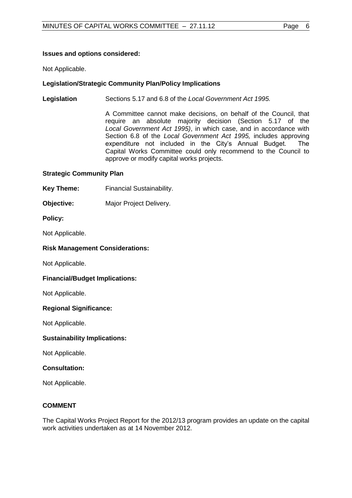## **Issues and options considered:**

Not Applicable.

# **Legislation/Strategic Community Plan/Policy Implications**

**Legislation** Sections 5.17 and 6.8 of the *Local Government Act 1995.*

A Committee cannot make decisions, on behalf of the Council, that require an absolute majority decision (Section 5.17 of the *Local Government Act 1995)*, in which case, and in accordance with Section 6.8 of the *Local Government Act 1995,* includes approving expenditure not included in the City's Annual Budget. The Capital Works Committee could only recommend to the Council to approve or modify capital works projects.

## **Strategic Community Plan**

- **Key Theme:** Financial Sustainability.
- **Objective:** Major Project Delivery.

### **Policy:**

Not Applicable.

### **Risk Management Considerations:**

Not Applicable.

### **Financial/Budget Implications:**

Not Applicable.

### **Regional Significance:**

Not Applicable.

#### **Sustainability Implications:**

Not Applicable.

#### **Consultation:**

Not Applicable.

#### **COMMENT**

The Capital Works Project Report for the 2012/13 program provides an update on the capital work activities undertaken as at 14 November 2012.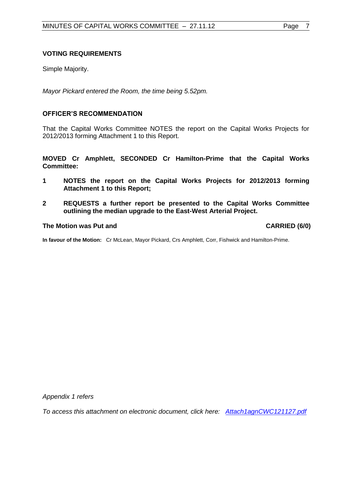#### **VOTING REQUIREMENTS**

Simple Majority.

*Mayor Pickard entered the Room, the time being 5.52pm.*

#### **OFFICER'S RECOMMENDATION**

That the Capital Works Committee NOTES the report on the Capital Works Projects for 2012/2013 forming Attachment 1 to this Report.

**MOVED Cr Amphlett, SECONDED Cr Hamilton-Prime that the Capital Works Committee:**

- **1 NOTES the report on the Capital Works Projects for 2012/2013 forming Attachment 1 to this Report;**
- **2 REQUESTS a further report be presented to the Capital Works Committee outlining the median upgrade to the East-West Arterial Project.**

#### The Motion was Put and **CARRIED** (6/0)

**In favour of the Motion:** Cr McLean, Mayor Pickard, Crs Amphlett, Corr, Fishwick and Hamilton-Prime.

*Appendix 1 refers*

*To access this attachment on electronic document, click he[re:](Attach1agnCWC121127.pdf) [Attach1agnCWC121127.pdf](file://coj-fluorine/minutes/minagenda/FINAL/Attachments/Attach1agnCWC121127.pdf)*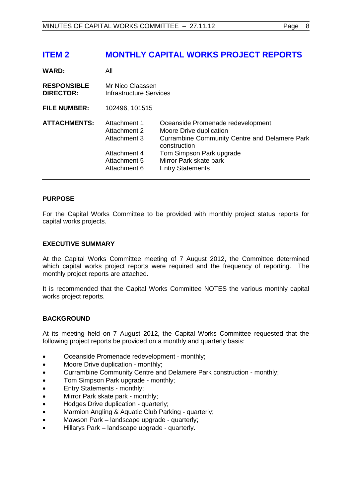# <span id="page-7-0"></span>**ITEM 2 MONTHLY CAPITAL WORKS PROJECT REPORTS**

| <b>WARD:</b>                           | All                                                                                          |                                                                                                                                                                                                                       |  |
|----------------------------------------|----------------------------------------------------------------------------------------------|-----------------------------------------------------------------------------------------------------------------------------------------------------------------------------------------------------------------------|--|
| <b>RESPONSIBLE</b><br><b>DIRECTOR:</b> | Mr Nico Claassen<br>Infrastructure Services                                                  |                                                                                                                                                                                                                       |  |
| <b>FILE NUMBER:</b>                    | 102496, 101515                                                                               |                                                                                                                                                                                                                       |  |
| <b>ATTACHMENTS:</b>                    | Attachment 1<br>Attachment 2<br>Attachment 3<br>Attachment 4<br>Attachment 5<br>Attachment 6 | Oceanside Promenade redevelopment<br>Moore Drive duplication<br><b>Currambine Community Centre and Delamere Park</b><br>construction<br>Tom Simpson Park upgrade<br>Mirror Park skate park<br><b>Entry Statements</b> |  |

### **PURPOSE**

For the Capital Works Committee to be provided with monthly project status reports for capital works projects.

#### **EXECUTIVE SUMMARY**

At the Capital Works Committee meeting of 7 August 2012, the Committee determined which capital works project reports were required and the frequency of reporting. The monthly project reports are attached.

It is recommended that the Capital Works Committee NOTES the various monthly capital works project reports.

#### **BACKGROUND**

At its meeting held on 7 August 2012, the Capital Works Committee requested that the following project reports be provided on a monthly and quarterly basis:

- Oceanside Promenade redevelopment monthly;
- Moore Drive duplication monthly;
- Currambine Community Centre and Delamere Park construction monthly;
- Tom Simpson Park upgrade monthly;
- Entry Statements monthly;
- Mirror Park skate park monthly;
- Hodges Drive duplication quarterly;
- Marmion Angling & Aquatic Club Parking quarterly;
- Mawson Park landscape upgrade quarterly;
- Hillarys Park landscape upgrade quarterly.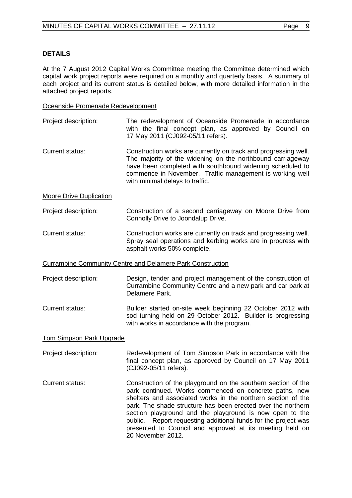#### **DETAILS**

At the 7 August 2012 Capital Works Committee meeting the Committee determined which capital work project reports were required on a monthly and quarterly basis. A summary of each project and its current status is detailed below, with more detailed information in the attached project reports.

#### Oceanside Promenade Redevelopment

- Project description: The redevelopment of Oceanside Promenade in accordance with the final concept plan, as approved by Council on 17 May 2011 (CJ092-05/11 refers).
- Current status: Construction works are currently on track and progressing well. The majority of the widening on the northbound carriageway have been completed with southbound widening scheduled to commence in November. Traffic management is working well with minimal delays to traffic.

Moore Drive Duplication

#### Project description: Construction of a second carriageway on Moore Drive from Connolly Drive to Joondalup Drive.

Current status: Construction works are currently on track and progressing well. Spray seal operations and kerbing works are in progress with asphalt works 50% complete.

Currambine Community Centre and Delamere Park Construction

- Project description: Design, tender and project management of the construction of Currambine Community Centre and a new park and car park at Delamere Park.
- Current status: Builder started on-site week beginning 22 October 2012 with sod turning held on 29 October 2012. Builder is progressing with works in accordance with the program.

#### Tom Simpson Park Upgrade

- Project description: Redevelopment of Tom Simpson Park in accordance with the final concept plan, as approved by Council on 17 May 2011 (CJ092-05/11 refers).
- Current status: Construction of the playground on the southern section of the park continued. Works commenced on concrete paths, new shelters and associated works in the northern section of the park. The shade structure has been erected over the northern section playground and the playground is now open to the public. Report requesting additional funds for the project was presented to Council and approved at its meeting held on 20 November 2012.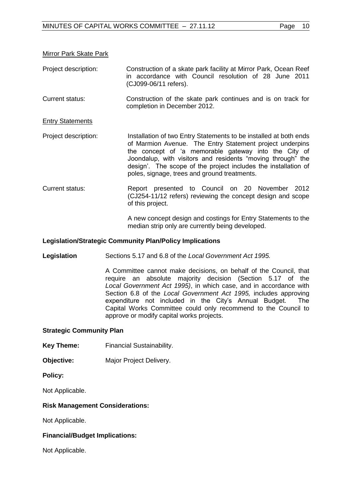#### Mirror Park Skate Park

- Project description: Construction of a skate park facility at Mirror Park, Ocean Reef in accordance with Council resolution of 28 June 2011 (CJ099-06/11 refers).
- Current status: Construction of the skate park continues and is on track for completion in December 2012.

#### Entry Statements

- Project description: Installation of two Entry Statements to be installed at both ends of Marmion Avenue. The Entry Statement project underpins the concept of 'a memorable gateway into the City of Joondalup, with visitors and residents "moving through" the design'. The scope of the project includes the installation of poles, signage, trees and ground treatments.
- Current status: Report presented to Council on 20 November 2012 (CJ254-11/12 refers) reviewing the concept design and scope of this project.

A new concept design and costings for Entry Statements to the median strip only are currently being developed.

#### **Legislation/Strategic Community Plan/Policy Implications**

**Legislation** Sections 5.17 and 6.8 of the *Local Government Act 1995.*

A Committee cannot make decisions, on behalf of the Council, that require an absolute majority decision (Section 5.17 of the *Local Government Act 1995)*, in which case, and in accordance with Section 6.8 of the *Local Government Act 1995,* includes approving expenditure not included in the City's Annual Budget. The Capital Works Committee could only recommend to the Council to approve or modify capital works projects.

#### **Strategic Community Plan**

- **Key Theme:** Financial Sustainability.
- **Objective:** Major Project Delivery.

#### **Policy:**

Not Applicable.

#### **Risk Management Considerations:**

Not Applicable.

#### **Financial/Budget Implications:**

Not Applicable.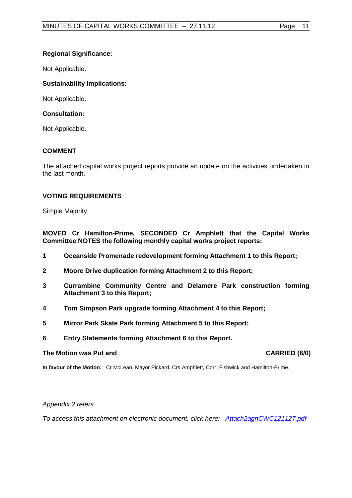# **Regional Significance:**

Not Applicable.

# **Sustainability Implications:**

Not Applicable.

# **Consultation:**

Not Applicable.

# **COMMENT**

The attached capital works project reports provide an update on the activities undertaken in the last month.

## **VOTING REQUIREMENTS**

Simple Majority.

**MOVED Cr Hamilton-Prime, SECONDED Cr Amphlett that the Capital Works Committee NOTES the following monthly capital works project reports:**

- **1 Oceanside Promenade redevelopment forming Attachment 1 to this Report;**
- **2 Moore Drive duplication forming Attachment 2 to this Report;**
- **3 Currambine Community Centre and Delamere Park construction forming Attachment 3 to this Report;**
- **4 Tom Simpson Park upgrade forming Attachment 4 to this Report;**
- **5 Mirror Park Skate Park forming Attachment 5 to this Report;**
- **6 Entry Statements forming Attachment 6 to this Report.**

### **The Motion was Put and CARRIED (6/0) CARRIED (6/0)**

**In favour of the Motion:** Cr McLean, Mayor Pickard, Crs Amphlett, Corr, Fishwick and Hamilton-Prime.

### *Appendix 2 refers*

*To access this attachment on electronic document, click [here:](Attach2agnCWC121127.pdf) [Attach2agnCWC121127.pdf](file://coj-fluorine/minutes/minagenda/FINAL/Attachments/Attach2agnCWC121127.pdf)*